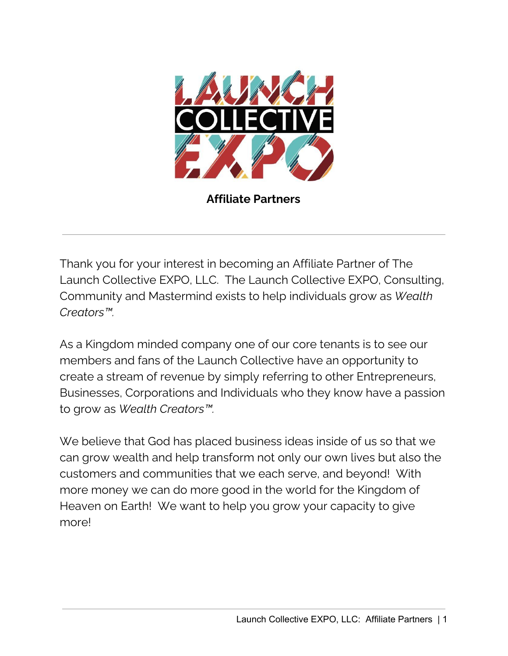

**Affiliate Partners**

Thank you for your interest in becoming an Affiliate Partner of The Launch Collective EXPO, LLC. The Launch Collective EXPO, Consulting, Community and Mastermind exists to help individuals grow as *Wealth Creators™.*

As a Kingdom minded company one of our core tenants is to see our members and fans of the Launch Collective have an opportunity to create a stream of revenue by simply referring to other Entrepreneurs, Businesses, Corporations and Individuals who they know have a passion to grow as *Wealth Creators™.*

We believe that God has placed business ideas inside of us so that we can grow wealth and help transform not only our own lives but also the customers and communities that we each serve, and beyond! With more money we can do more good in the world for the Kingdom of Heaven on Earth! We want to help you grow your capacity to give more!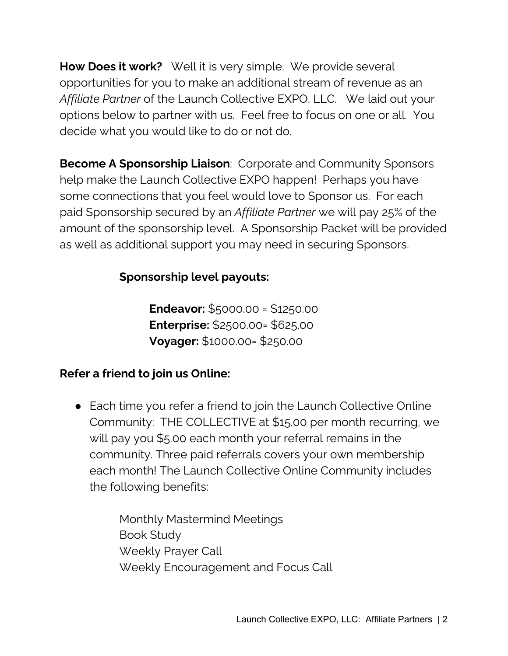**How Does it work?** Well it is very simple. We provide several opportunities for you to make an additional stream of revenue as an *Affiliate Partner* of the Launch Collective EXPO, LLC. We laid out your options below to partner with us. Feel free to focus on one or all. You decide what you would like to do or not do.

**Become A Sponsorship Liaison**: Corporate and Community Sponsors help make the Launch Collective EXPO happen! Perhaps you have some connections that you feel would love to Sponsor us. For each paid Sponsorship secured by an *Affiliate Partner* we will pay 25% of the amount of the sponsorship level. A Sponsorship Packet will be provided as well as additional support you may need in securing Sponsors.

# **Sponsorship level payouts:**

**Endeavor:** \$5000.00 = \$1250.00 **Enterprise:** \$2500.00= \$625.00 **Voyager:** \$1000.00= \$250.00

# **Refer a friend to join us Online:**

● Each time you refer a friend to join the Launch Collective Online Community: THE COLLECTIVE at \$15.00 per month recurring, we will pay you \$5.00 each month your referral remains in the community. Three paid referrals covers your own membership each month! The Launch Collective Online Community includes the following benefits:

> Monthly Mastermind Meetings Book Study Weekly Prayer Call Weekly Encouragement and Focus Call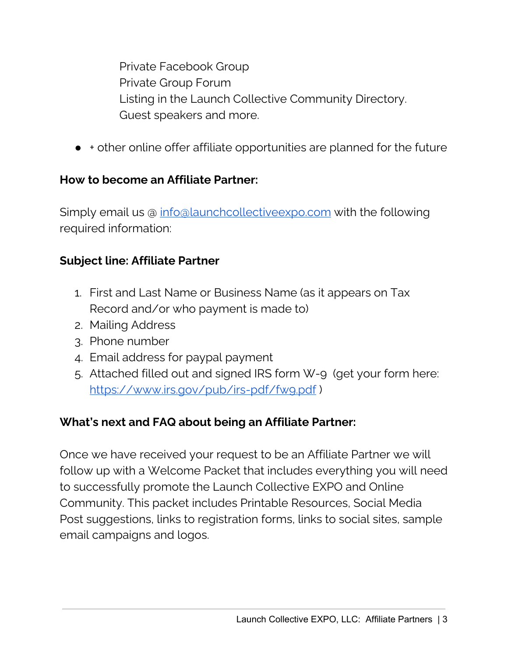Private Facebook Group Private Group Forum Listing in the Launch Collective Community Directory. Guest speakers and more.

● + other online offer affiliate opportunities are planned for the future

## **How to become an Affiliate Partner:**

Simply email us @ [info@launchcollectiveexpo.com](mailto:info@launchcollectiveexpo.com) with the following required information:

## **Subject line: Affiliate Partner**

- 1. First and Last Name or Business Name (as it appears on Tax Record and/or who payment is made to)
- 2. Mailing Address
- 3. Phone number
- 4. Email address for paypal payment
- 5. Attached filled out and signed IRS form W-9 (get your form here: https://www.irs.gov/pub/irs-pdf/fwg.pdf)

### **What's next and FAQ about being an Affiliate Partner:**

Once we have received your request to be an Affiliate Partner we will follow up with a Welcome Packet that includes everything you will need to successfully promote the Launch Collective EXPO and Online Community. This packet includes Printable Resources, Social Media Post suggestions, links to registration forms, links to social sites, sample email campaigns and logos.